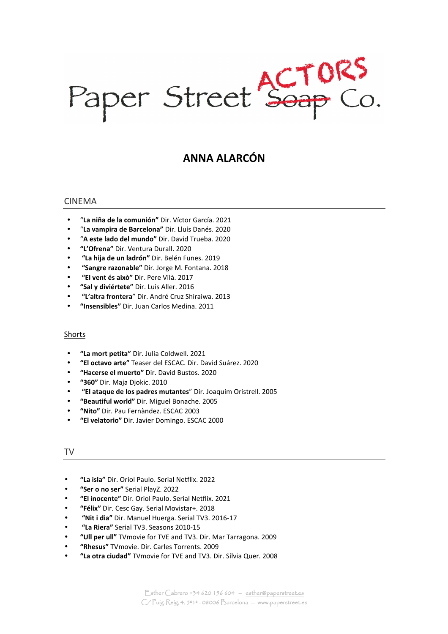Paper Street <del>Soap</del> Co.

# **ANNA ALARCÓN**

## CINEMA

- "**La niña de la comunión"** Dir. Víctor García. 2021
- "**La vampira de Barcelona"** Dir. Lluís Danés. 2020
- "**A este lado del mundo"** Dir. David Trueba. 2020
- **"L'Ofrena"** Dir. Ventura Durall. 2020
- • **"La hija de un ladrón"** Dir. Belén Funes. 2019
- • **"Sangre razonable"** Dir. Jorge M. Fontana. 2018
- • **"El vent és això"** Dir. Pere Vilà. 2017
- **"Sal y diviértete"** Dir. Luis Aller. 2016
- • **"L'altra frontera**" Dir. André Cruz Shiraiwa. 2013
- **"Insensibles"** Dir. Juan Carlos Medina. 2011

### Shorts

- **"La mort petita"** Dir. Julia Coldwell. 2021
- **"El octavo arte"** Teaser del ESCAC. Dir. David Suárez. 2020
- **"Hacerse el muerto"** Dir. David Bustos. 2020
- **"360"** Dir. Maja Djokic. 2010
- • **"El ataque de los padres mutantes**" Dir. Joaquim Oristrell. 2005
- **"Beautiful world"** Dir. Miguel Bonache. 2005
- **"Nito"** Dir. Pau Fernàndez. ESCAC 2003
- **"El velatorio"** Dir. Javier Domingo. ESCAC 2000

### TV

- **"La isla"** Dir. Oriol Paulo. Serial Netflix. 2022
- **"Ser o no ser"** Serial PlayZ. 2022
- **"El inocente"** Dir. Oriol Paulo. Serial Netflix. 2021
- **"Félix"** Dir. Cesc Gay. Serial Movistar+. 2018
- • **"Nit i dia"** Dir. Manuel Huerga. Serial TV3. 2016-17
- • **"La Riera"** Serial TV3. Seasons 2010-15
- **"Ull per ull"** TVmovie for TVE and TV3. Dir. Mar Tarragona. 2009
- **"Rhesus"** TVmovie. Dir. Carles Torrents. 2009
- **"La otra ciudad"** TVmovie for TVE and TV3. Dir. Sílvia Quer. 2008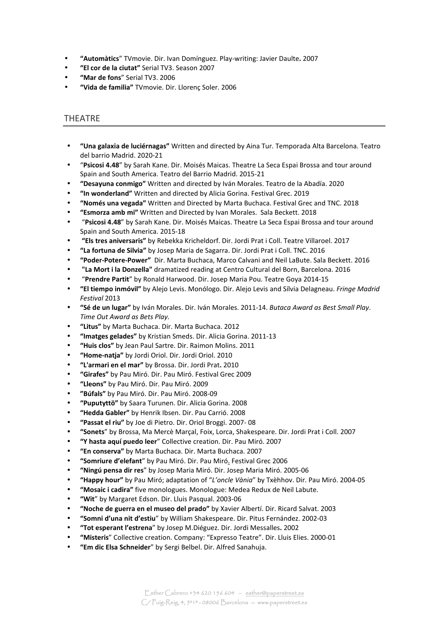- **"Automàtics**" TVmovie. Dir. Ivan Domínguez. Play-writing: Javier Daulte**.** 2007
- **"El cor de la ciutat"** Serial TV3. Season 2007
- **"Mar de fons**" Serial TV3. 2006
- **"Vida de familia"** TVmovie. Dir. Llorenç Soler. 2006

# THEATRE

- **"Una galaxia de luciérnagas"** Written and directed by Aina Tur. Temporada Alta Barcelona. Teatro del barrio Madrid. 2020-21
- "**Psicosi 4.48**" by Sarah Kane. Dir. Moisés Maicas. Theatre La Seca Espai Brossa and tour around Spain and South America. Teatro del Barrio Madrid. 2015-21
- **"Desayuna conmigo"** Written and directed by Iván Morales. Teatro de la Abadía. 2020
- **"In wonderland"** Written and directed by Alicia Gorina. Festival Grec. 2019
- **"Només una vegada"** Written and Directed by Marta Buchaca. Festival Grec and TNC. 2018
- **"Esmorza amb mi"** Written and Directed by Ivan Morales. Sala Beckett. 2018
- "**Psicosi 4.48**" by Sarah Kane. Dir. Moisés Maicas. Theatre La Seca Espai Brossa and tour around Spain and South America. 2015-18
- • **"Els tres aniversaris"** by Rebekka Kricheldorf. Dir. Jordi Prat i Coll. Teatre Villaroel. 2017
- **"La fortuna de Silvia"** by Josep Maria de Sagarra. Dir. Jordi Prat i Coll. TNC. 2016
- **"Poder-Potere-Power"** Dir. Marta Buchaca, Marco Calvani and Neil LaBute. Sala Beckett. 2016
- • **"La Mort i la Donzella"** dramatized reading at Centro Cultural del Born, Barcelona. 2016
- "**Prendre Partit**" by Ronald Harwood. Dir. Josep Maria Pou. Teatre Goya 2014-15
- **"El tiempo inmóvil"** by Alejo Levis. Monólogo. Dir. Alejo Levis and Sílvia Delagneau. *Fringe Madrid Festival* 2013
- **"Sé de un lugar"** by Iván Morales. Dir. Iván Morales. 2011-14. *Butaca Award as Best Small Play*. *Time Out Award as Bets Play.*
- **"Litus"** by Marta Buchaca. Dir. Marta Buchaca. 2012
- **"Imatges gelades"** by Kristian Smeds. Dir. Alicia Gorina. 2011-13
- **"Huis clos"** by Jean Paul Sartre. Dir. Raimon Molins. 2011
- **"Home-natja"** by Jordi Oriol. Dir. Jordi Oriol. 2010
- **"L'armari en el mar"** by Brossa. Dir. Jordi Prat**.** 2010
- **"Girafes"** by Pau Miró. Dir. Pau Miró. Festival Grec 2009
- **"Lleons"** by Pau Miró. Dir. Pau Miró. 2009
- **"Búfals"** by Pau Miró. Dir. Pau Miró. 2008-09
- **"Puputyttö"** by Saara Turunen. Dir. Alicia Gorina. 2008
- **"Hedda Gabler"** by Henrik Ibsen. Dir. Pau Carrió. 2008
- **"Passat el riu"** by Joe di Pietro. Dir. Oriol Broggi. 2007- 08
- **"Sonets**" by Brossa, Ma Mercè Marçal, Foix, Lorca, Shakespeare. Dir. Jordi Prat i Coll. 2007
- **"Y hasta aquí puedo leer**" Collective creation. Dir. Pau Miró. 2007
- **"En conserva"** by Marta Buchaca. Dir. Marta Buchaca. 2007
- **"Somriure d'elefant**" by Pau Miró. Dir. Pau Miró. Festival Grec 2006
- **"Ningú pensa dir res**" by Josep Maria Miró. Dir. Josep Maria Miró. 2005-06
- **"Happy hour"** by Pau Miró; adaptation of "*L'oncle Vània*" by Txèhhov. Dir. Pau Miró. 2004-05
- **"Mosaic i cadira"** five monologues. Monologue: Medea Redux de Neil Labute.
- **"Wit**" by Margaret Edson. Dir. Lluis Pasqual. 2003-06
- **"Noche de guerra en el museo del prado"** by Xavier Albertí. Dir. Ricard Salvat. 2003
- **"Somni d'una nit d'estiu**" by William Shakespeare. Dir. Pitus Fernández. 2002-03
- **"Tot esperant l'estrena**" by Josep M.Diéguez. Dir. Jordi Messalles**.** 2002
- **"Misteris**" Collective creation. Company: "Expresso Teatre". Dir. Lluis Elies. 2000-01
- **"Em dic Elsa Schneider**" by Sergi Belbel. Dir. Alfred Sanahuja.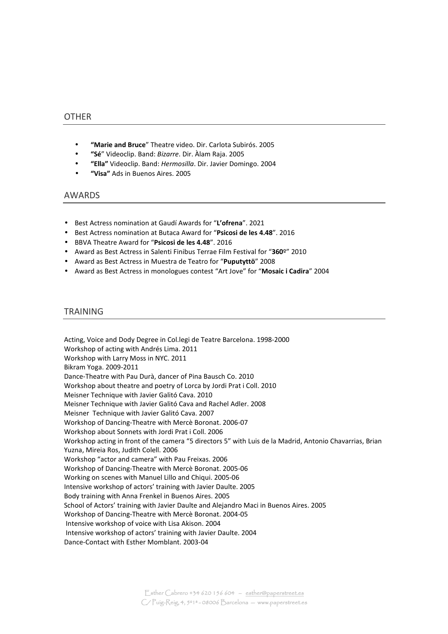## OTHER

- **"Marie and Bruce**" Theatre video. Dir. Carlota Subirós. 2005
- **"Sé**" Videoclip. Band: *Bizarre*. Dir. Àlam Raja. 2005
- **"Ella"** Videoclip. Band: *Hermosilla*. Dir. Javier Domingo. 2004
- **"Visa"** Ads in Buenos Aires. 2005

### AWARDS

- Best Actress nomination at Gaudí Awards for "**L'ofrena**". 2021
- Best Actress nomination at Butaca Award for "**Psicosi de les 4.48**". 2016
- BBVA Theatre Award for "**Psicosi de les 4.48**". 2016
- Award as Best Actress in Salenti Finibus Terrae Film Festival for "**360**º" 2010
- Award as Best Actress in Muestra de Teatro for "**Puputyttö**" 2008
- Award as Best Actress in monologues contest "Art Jove" for "**Mosaic i Cadira**" 2004

## TRAINING

Acting, Voice and Dody Degree in Col.legi de Teatre Barcelona. 1998-2000 Workshop of acting with Andrés Lima. 2011 Workshop with Larry Moss in NYC. 2011 Bikram Yoga. 2009-2011 Dance-Theatre with Pau Durà, dancer of Pina Bausch Co. 2010 Workshop about theatre and poetry of Lorca by Jordi Prat i Coll. 2010 Meisner Technique with Javier Galitó Cava. 2010 Meisner Technique with Javier Galitó Cava and Rachel Adler. 2008 Meisner Technique with Javier Galitó Cava. 2007 Workshop of Dancing-Theatre with Mercè Boronat. 2006-07 Workshop about Sonnets with Jordi Prat i Coll. 2006 Workshop acting in front of the camera "5 directors 5" with Luis de la Madrid, Antonio Chavarrias, Brian Yuzna, Mireia Ros, Judith Colell. 2006 Workshop "actor and camera" with Pau Freixas. 2006 Workshop of Dancing-Theatre with Mercè Boronat. 2005-06 Working on scenes with Manuel Lillo and Chiqui. 2005-06 Intensive workshop of actors' training with Javier Daulte. 2005 Body training with Anna Frenkel in Buenos Aires. 2005 School of Actors' training with Javier Daulte and Alejandro Maci in Buenos Aires. 2005 Workshop of Dancing-Theatre with Mercè Boronat. 2004-05 Intensive workshop of voice with Lisa Akison. 2004 Intensive workshop of actors' training with Javier Daulte. 2004 Dance-Contact with Esther Momblant. 2003-04